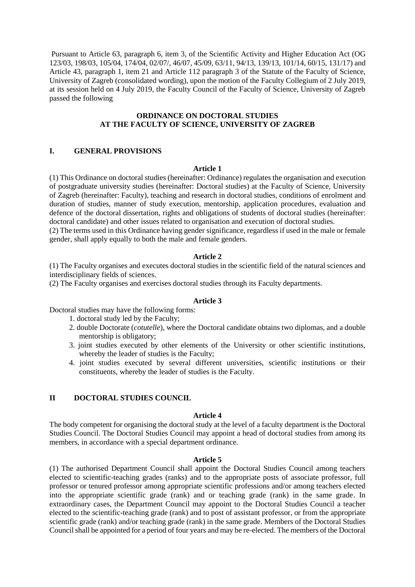Pursuant to Article 63, paragraph 6, item 3, of the Scientific Activity and Higher Education Act (OG 123/03, 198/03, 105/04, 174/04, 02/07/, 46/07, 45/09, 63/11, 94/13, 139/13, 101/14, 60/15, 131/17) and Article 43, paragraph 1, item 21 and Article 112 paragraph 3 of the Statute of the Faculty of Science, University of Zagreb (consolidated wording), upon the motion of the Faculty Collegium of 2 July 2019, at its session held on 4 July 2019, the Faculty Council of the Faculty of Science, University of Zagreb passed the following

## **ORDINANCE ON DOCTORAL STUDIES AT THE FACULTY OF SCIENCE, UNIVERSITY OF ZAGREB**

## **I. GENERAL PROVISIONS**

#### **Article 1**

(1) This Ordinance on doctoral studies (hereinafter: Ordinance) regulates the organisation and execution of postgraduate university studies (hereinafter: Doctoral studies) at the Faculty of Science, University of Zagreb (hereinafter: Faculty), teaching and research in doctoral studies, conditions of enrolment and duration of studies, manner of study execution, mentorship, application procedures, evaluation and defence of the doctoral dissertation, rights and obligations of students of doctoral studies (hereinafter: doctoral candidate) and other issues related to organisation and execution of doctoral studies.

(2) The terms used in this Ordinance having gender significance, regardless if used in the male or female gender, shall apply equally to both the male and female genders.

#### **Article 2**

(1) The Faculty organises and executes doctoral studies in the scientific field of the natural sciences and interdisciplinary fields of sciences.

(2) The Faculty organises and exercises doctoral studies through its Faculty departments.

#### **Article 3**

Doctoral studies may have the following forms:

1. doctoral study led by the Faculty;

- 2. double Doctorate (*cotutelle*), where the Doctoral candidate obtains two diplomas, and a double mentorship is obligatory;
- 3. joint studies executed by other elements of the University or other scientific institutions, whereby the leader of studies is the Faculty;
- 4. joint studies executed by several different universities, scientific institutions or their constituents, whereby the leader of studies is the Faculty.

## **II DOCTORAL STUDIES COUNCIL**

### **Article 4**

The body competent for organising the doctoral study at the level of a faculty department is the Doctoral Studies Council. The Doctoral Studies Council may appoint a head of doctoral studies from among its members, in accordance with a special department ordinance.

#### **Article 5**

(1) The authorised Department Council shall appoint the Doctoral Studies Council among teachers elected to scientific-teaching grades (ranks) and to the appropriate posts of associate professor, full professor or tenured professor among appropriate scientific professions and/or among teachers elected into the appropriate scientific grade (rank) and or teaching grade (rank) in the same grade. In extraordinary cases, the Department Council may appoint to the Doctoral Studies Council a teacher elected to the scientific-teaching grade (rank) and to post of assistant professor, or from the appropriate scientific grade (rank) and/or teaching grade (rank) in the same grade. Members of the Doctoral Studies Council shall be appointed for a period of four years and may be re-elected. The members of the Doctoral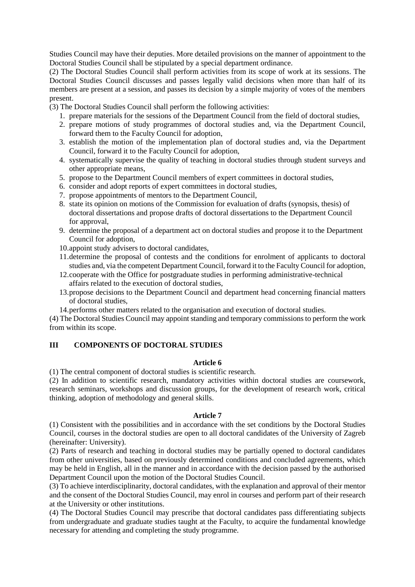Studies Council may have their deputies. More detailed provisions on the manner of appointment to the Doctoral Studies Council shall be stipulated by a special department ordinance.

(2) The Doctoral Studies Council shall perform activities from its scope of work at its sessions. The Doctoral Studies Council discusses and passes legally valid decisions when more than half of its members are present at a session, and passes its decision by a simple majority of votes of the members present.

(3) The Doctoral Studies Council shall perform the following activities:

- 1. prepare materials for the sessions of the Department Council from the field of doctoral studies,
- 2. prepare motions of study programmes of doctoral studies and, via the Department Council, forward them to the Faculty Council for adoption,
- 3. establish the motion of the implementation plan of doctoral studies and, via the Department Council, forward it to the Faculty Council for adoption,
- 4. systematically supervise the quality of teaching in doctoral studies through student surveys and other appropriate means,
- 5. propose to the Department Council members of expert committees in doctoral studies,
- 6. consider and adopt reports of expert committees in doctoral studies,
- 7. propose appointments of mentors to the Department Council,
- 8. state its opinion on motions of the Commission for evaluation of drafts (synopsis, thesis) of doctoral dissertations and propose drafts of doctoral dissertations to the Department Council for approval,
- 9. determine the proposal of a department act on doctoral studies and propose it to the Department Council for adoption,
- 10.appoint study advisers to doctoral candidates,
- 11.determine the proposal of contests and the conditions for enrolment of applicants to doctoral studies and, via the competent Department Council, forward it to the Faculty Council for adoption,
- 12.cooperate with the Office for postgraduate studies in performing administrative-technical affairs related to the execution of doctoral studies,
- 13.propose decisions to the Department Council and department head concerning financial matters of doctoral studies,
- 14.performs other matters related to the organisation and execution of doctoral studies.

(4) The Doctoral Studies Council may appoint standing and temporary commissions to perform the work from within its scope.

### **III COMPONENTS OF DOCTORAL STUDIES**

## **Article 6**

(1) The central component of doctoral studies is scientific research.

(2) In addition to scientific research, mandatory activities within doctoral studies are coursework, research seminars, workshops and discussion groups, for the development of research work, critical thinking, adoption of methodology and general skills.

### **Article 7**

(1) Consistent with the possibilities and in accordance with the set conditions by the Doctoral Studies Council, courses in the doctoral studies are open to all doctoral candidates of the University of Zagreb (hereinafter: University).

(2) Parts of research and teaching in doctoral studies may be partially opened to doctoral candidates from other universities, based on previously determined conditions and concluded agreements, which may be held in English, all in the manner and in accordance with the decision passed by the authorised Department Council upon the motion of the Doctoral Studies Council.

(3) To achieve interdisciplinarity, doctoral candidates, with the explanation and approval of their mentor and the consent of the Doctoral Studies Council, may enrol in courses and perform part of their research at the University or other institutions.

(4) The Doctoral Studies Council may prescribe that doctoral candidates pass differentiating subjects from undergraduate and graduate studies taught at the Faculty, to acquire the fundamental knowledge necessary for attending and completing the study programme.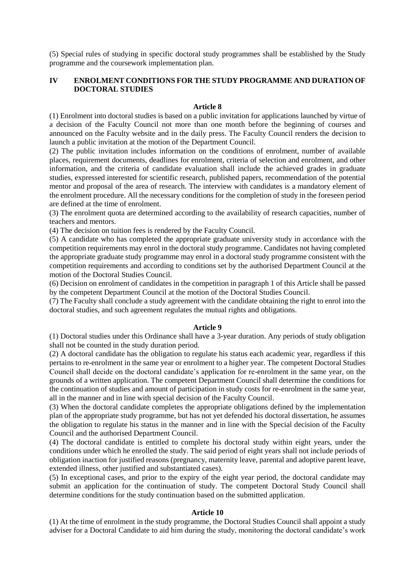(5) Special rules of studying in specific doctoral study programmes shall be established by the Study programme and the coursework implementation plan.

# **IV ENROLMENT CONDITIONS FOR THE STUDY PROGRAMME AND DURATION OF DOCTORAL STUDIES**

### **Article 8**

(1) Enrolment into doctoral studies is based on a public invitation for applications launched by virtue of a decision of the Faculty Council not more than one month before the beginning of courses and announced on the Faculty website and in the daily press. The Faculty Council renders the decision to launch a public invitation at the motion of the Department Council.

(2) The public invitation includes information on the conditions of enrolment, number of available places, requirement documents, deadlines for enrolment, criteria of selection and enrolment, and other information, and the criteria of candidate evaluation shall include the achieved grades in graduate studies, expressed interested for scientific research, published papers, recommendation of the potential mentor and proposal of the area of research. The interview with candidates is a mandatory element of the enrolment procedure. All the necessary conditions for the completion of study in the foreseen period are defined at the time of enrolment.

(3) The enrolment quota are determined according to the availability of research capacities, number of teachers and mentors.

(4) The decision on tuition fees is rendered by the Faculty Council.

(5) A candidate who has completed the appropriate graduate university study in accordance with the competition requirements may enrol in the doctoral study programme. Candidates not having completed the appropriate graduate study programme may enrol in a doctoral study programme consistent with the competition requirements and according to conditions set by the authorised Department Council at the motion of the Doctoral Studies Council.

(6) Decision on enrolment of candidates in the competition in paragraph 1 of this Article shall be passed by the competent Department Council at the motion of the Doctoral Studies Council.

(7) The Faculty shall conclude a study agreement with the candidate obtaining the right to enrol into the doctoral studies, and such agreement regulates the mutual rights and obligations.

#### **Article 9**

(1) Doctoral studies under this Ordinance shall have a 3-year duration. Any periods of study obligation shall not be counted in the study duration period.

(2) A doctoral candidate has the obligation to regulate his status each academic year, regardless if this pertains to re-enrolment in the same year or enrolment to a higher year. The competent Doctoral Studies Council shall decide on the doctoral candidate's application for re-enrolment in the same year, on the grounds of a written application. The competent Department Council shall determine the conditions for the continuation of studies and amount of participation in study costs for re-enrolment in the same year, all in the manner and in line with special decision of the Faculty Council.

(3) When the doctoral candidate completes the appropriate obligations defined by the implementation plan of the appropriate study programme, but has not yet defended his doctoral dissertation, he assumes the obligation to regulate his status in the manner and in line with the Special decision of the Faculty Council and the authorised Department Council.

(4) The doctoral candidate is entitled to complete his doctoral study within eight years, under the conditions under which he enrolled the study. The said period of eight years shall not include periods of obligation inaction for justified reasons (pregnancy, maternity leave, parental and adoptive parent leave, extended illness, other justified and substantiated cases).

(5) In exceptional cases, and prior to the expiry of the eight year period, the doctoral candidate may submit an application for the continuation of study. The competent Doctoral Study Council shall determine conditions for the study continuation based on the submitted application.

#### **Article 10**

(1) At the time of enrolment in the study programme, the Doctoral Studies Council shall appoint a study adviser for a Doctoral Candidate to aid him during the study, monitoring the doctoral candidate's work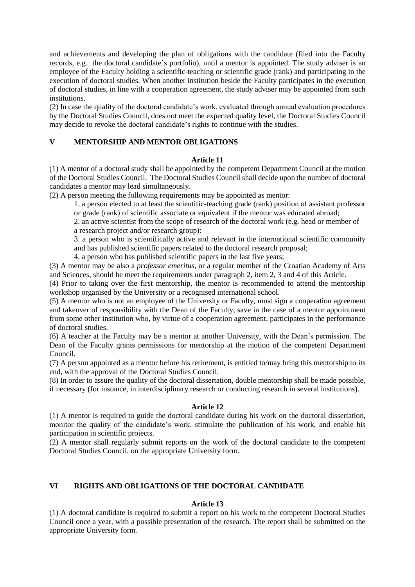and achievements and developing the plan of obligations with the candidate (filed into the Faculty records, e.g. the doctoral candidate's portfolio), until a mentor is appointed. The study adviser is an employee of the Faculty holding a scientific-teaching or scientific grade (rank) and participating in the execution of doctoral studies. When another institution beside the Faculty participates in the execution of doctoral studies, in line with a cooperation agreement, the study adviser may be appointed from such institutions.

(2) In case the quality of the doctoral candidate's work, evaluated through annual evaluation procedures by the Doctoral Studies Council, does not meet the expected quality level, the Doctoral Studies Council may decide to revoke the doctoral candidate's rights to continue with the studies.

## **V MENTORSHIP AND MENTOR OBLIGATIONS**

### **Article 11**

(1) A mentor of a doctoral study shall be appointed by the competent Department Council at the motion of the Doctoral Studies Council. The Doctoral Studies Council shall decide upon the number of doctoral candidates a mentor may lead simultaneously.

(2) A person meeting the following requirements may be appointed as mentor:

1. a person elected to at least the scientific-teaching grade (rank) position of assistant professor or grade (rank) of scientific associate or equivalent if the mentor was educated abroad;

2. an active scientist from the scope of research of the doctoral work (e.g. head or member of a research project and/or research group):

3. a person who is scientifically active and relevant in the international scientific community and has published scientific papers related to the doctoral research proposal;

4. a person who has published scientific papers in the last five years;

(3) A mentor may be also a *professor emeritus*, or a regular member of the Croatian Academy of Arts and Sciences, should he meet the requirements under paragraph 2, item 2, 3 and 4 of this Article.

(4) Prior to taking over the first mentorship, the mentor is recommended to attend the mentorship workshop organised by the University or a recognised international school.

(5) A mentor who is not an employee of the University or Faculty, must sign a cooperation agreement and takeover of responsibility with the Dean of the Faculty, save in the case of a mentor appointment from some other institution who, by virtue of a cooperation agreement, participates in the performance of doctoral studies.

(6) A teacher at the Faculty may be a mentor at another University, with the Dean's permission. The Dean of the Faculty grants permissions for mentorship at the motion of the competent Department Council.

(7) A person appointed as a mentor before his retirement, is entitled to/may bring this mentorship to its end, with the approval of the Doctoral Studies Council.

(8) In order to assure the quality of the doctoral dissertation, double mentorship shall be made possible, if necessary (for instance, in interdisciplinary research or conducting research in several institutions).

## **Article 12**

(1) A mentor is required to guide the doctoral candidate during his work on the doctoral dissertation, monitor the quality of the candidate's work, stimulate the publication of his work, and enable his participation in scientific projects.

(2) A mentor shall regularly submit reports on the work of the doctoral candidate to the competent Doctoral Studies Council, on the appropriate University form.

# **VI RIGHTS AND OBLIGATIONS OF THE DOCTORAL CANDIDATE**

## **Article 13**

(1) A doctoral candidate is required to submit a report on his work to the competent Doctoral Studies Council once a year, with a possible presentation of the research. The report shall be submitted on the appropriate University form.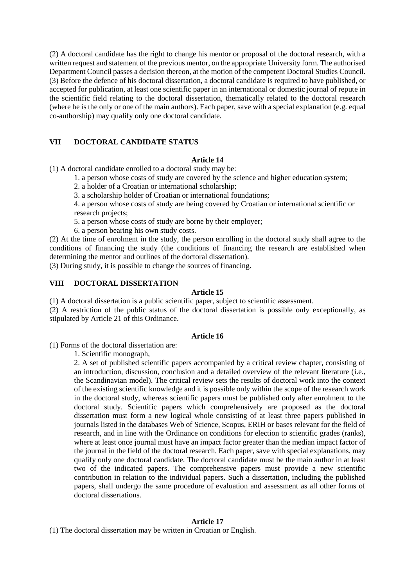(2) A doctoral candidate has the right to change his mentor or proposal of the doctoral research, with a written request and statement of the previous mentor, on the appropriate University form. The authorised Department Council passes a decision thereon, at the motion of the competent Doctoral Studies Council. (3) Before the defence of his doctoral dissertation, a doctoral candidate is required to have published, or accepted for publication, at least one scientific paper in an international or domestic journal of repute in the scientific field relating to the doctoral dissertation, thematically related to the doctoral research (where he is the only or one of the main authors). Each paper, save with a special explanation (e.g. equal co-authorship) may qualify only one doctoral candidate.

# **VII DOCTORAL CANDIDATE STATUS**

## **Article 14**

(1) A doctoral candidate enrolled to a doctoral study may be:

1. a person whose costs of study are covered by the science and higher education system;

2. a holder of a Croatian or international scholarship;

3. a scholarship holder of Croatian or international foundations;

4. a person whose costs of study are being covered by Croatian or international scientific or research projects;

5. a person whose costs of study are borne by their employer;

6. a person bearing his own study costs.

(2) At the time of enrolment in the study, the person enrolling in the doctoral study shall agree to the conditions of financing the study (the conditions of financing the research are established when determining the mentor and outlines of the doctoral dissertation).

(3) During study, it is possible to change the sources of financing.

### **VIII DOCTORAL DISSERTATION**

#### **Article 15**

(1) A doctoral dissertation is a public scientific paper, subject to scientific assessment.

(2) A restriction of the public status of the doctoral dissertation is possible only exceptionally, as stipulated by Article 21 of this Ordinance.

#### **Article 16**

(1) Forms of the doctoral dissertation are:

1. Scientific monograph,

2. A set of published scientific papers accompanied by a critical review chapter, consisting of an introduction, discussion, conclusion and a detailed overview of the relevant literature (i.e., the Scandinavian model). The critical review sets the results of doctoral work into the context of the existing scientific knowledge and it is possible only within the scope of the research work in the doctoral study, whereas scientific papers must be published only after enrolment to the doctoral study. Scientific papers which comprehensively are proposed as the doctoral dissertation must form a new logical whole consisting of at least three papers published in journals listed in the databases Web of Science, Scopus, ERIH or bases relevant for the field of research, and in line with the Ordinance on conditions for election to scientific grades (ranks), where at least once journal must have an impact factor greater than the median impact factor of the journal in the field of the doctoral research. Each paper, save with special explanations, may qualify only one doctoral candidate. The doctoral candidate must be the main author in at least two of the indicated papers. The comprehensive papers must provide a new scientific contribution in relation to the individual papers. Such a dissertation, including the published papers, shall undergo the same procedure of evaluation and assessment as all other forms of doctoral dissertations.

## **Article 17**

(1) The doctoral dissertation may be written in Croatian or English.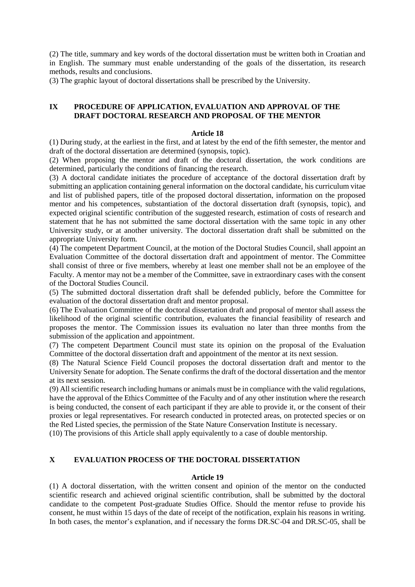(2) The title, summary and key words of the doctoral dissertation must be written both in Croatian and in English. The summary must enable understanding of the goals of the dissertation, its research methods, results and conclusions.

(3) The graphic layout of doctoral dissertations shall be prescribed by the University.

## **IX PROCEDURE OF APPLICATION, EVALUATION AND APPROVAL OF THE DRAFT DOCTORAL RESEARCH AND PROPOSAL OF THE MENTOR**

## **Article 18**

(1) During study, at the earliest in the first, and at latest by the end of the fifth semester, the mentor and draft of the doctoral dissertation are determined (synopsis, topic).

(2) When proposing the mentor and draft of the doctoral dissertation, the work conditions are determined, particularly the conditions of financing the research.

(3) A doctoral candidate initiates the procedure of acceptance of the doctoral dissertation draft by submitting an application containing general information on the doctoral candidate, his curriculum vitae and list of published papers, title of the proposed doctoral dissertation, information on the proposed mentor and his competences, substantiation of the doctoral dissertation draft (synopsis, topic), and expected original scientific contribution of the suggested research, estimation of costs of research and statement that he has not submitted the same doctoral dissertation with the same topic in any other University study, or at another university. The doctoral dissertation draft shall be submitted on the appropriate University form.

(4) The competent Department Council, at the motion of the Doctoral Studies Council, shall appoint an Evaluation Committee of the doctoral dissertation draft and appointment of mentor. The Committee shall consist of three or five members, whereby at least one member shall not be an employee of the Faculty. A mentor may not be a member of the Committee, save in extraordinary cases with the consent of the Doctoral Studies Council.

(5) The submitted doctoral dissertation draft shall be defended publicly, before the Committee for evaluation of the doctoral dissertation draft and mentor proposal.

(6) The Evaluation Committee of the doctoral dissertation draft and proposal of mentor shall assess the likelihood of the original scientific contribution, evaluates the financial feasibility of research and proposes the mentor. The Commission issues its evaluation no later than three months from the submission of the application and appointment.

(7) The competent Department Council must state its opinion on the proposal of the Evaluation Committee of the doctoral dissertation draft and appointment of the mentor at its next session.

(8) The Natural Science Field Council proposes the doctoral dissertation draft and mentor to the University Senate for adoption. The Senate confirms the draft of the doctoral dissertation and the mentor at its next session.

(9) All scientific research including humans or animals must be in compliance with the valid regulations, have the approval of the Ethics Committee of the Faculty and of any other institution where the research is being conducted, the consent of each participant if they are able to provide it, or the consent of their proxies or legal representatives. For research conducted in protected areas, on protected species or on the Red Listed species, the permission of the State Nature Conservation Institute is necessary.

(10) The provisions of this Article shall apply equivalently to a case of double mentorship.

## **X EVALUATION PROCESS OF THE DOCTORAL DISSERTATION**

#### **Article 19**

(1) A doctoral dissertation, with the written consent and opinion of the mentor on the conducted scientific research and achieved original scientific contribution, shall be submitted by the doctoral candidate to the competent Post-graduate Studies Office. Should the mentor refuse to provide his consent, he must within 15 days of the date of receipt of the notification, explain his reasons in writing. In both cases, the mentor's explanation, and if necessary the forms DR.SC-04 and DR.SC-05, shall be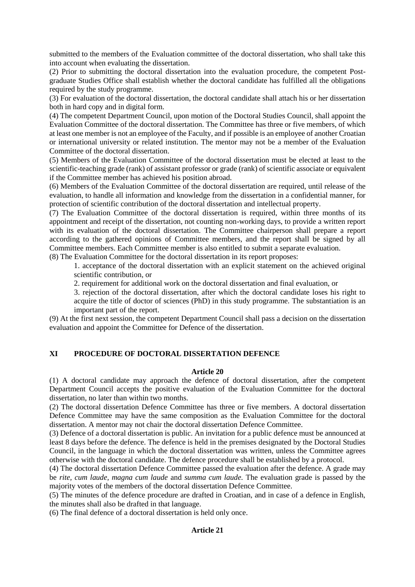submitted to the members of the Evaluation committee of the doctoral dissertation, who shall take this into account when evaluating the dissertation.

(2) Prior to submitting the doctoral dissertation into the evaluation procedure, the competent Postgraduate Studies Office shall establish whether the doctoral candidate has fulfilled all the obligations required by the study programme.

(3) For evaluation of the doctoral dissertation, the doctoral candidate shall attach his or her dissertation both in hard copy and in digital form.

(4) The competent Department Council, upon motion of the Doctoral Studies Council, shall appoint the Evaluation Committee of the doctoral dissertation. The Committee has three or five members, of which at least one member is not an employee of the Faculty, and if possible is an employee of another Croatian or international university or related institution. The mentor may not be a member of the Evaluation Committee of the doctoral dissertation.

(5) Members of the Evaluation Committee of the doctoral dissertation must be elected at least to the scientific-teaching grade (rank) of assistant professor or grade (rank) of scientific associate or equivalent if the Committee member has achieved his position abroad.

(6) Members of the Evaluation Committee of the doctoral dissertation are required, until release of the evaluation, to handle all information and knowledge from the dissertation in a confidential manner, for protection of scientific contribution of the doctoral dissertation and intellectual property.

(7) The Evaluation Committee of the doctoral dissertation is required, within three months of its appointment and receipt of the dissertation, not counting non-working days, to provide a written report with its evaluation of the doctoral dissertation. The Committee chairperson shall prepare a report according to the gathered opinions of Committee members, and the report shall be signed by all Committee members. Each Committee member is also entitled to submit a separate evaluation.

(8) The Evaluation Committee for the doctoral dissertation in its report proposes:

1. acceptance of the doctoral dissertation with an explicit statement on the achieved original scientific contribution, or

2. requirement for additional work on the doctoral dissertation and final evaluation, or

3. rejection of the doctoral dissertation, after which the doctoral candidate loses his right to acquire the title of doctor of sciences (PhD) in this study programme. The substantiation is an important part of the report.

(9) At the first next session, the competent Department Council shall pass a decision on the dissertation evaluation and appoint the Committee for Defence of the dissertation.

# **XI PROCEDURE OF DOCTORAL DISSERTATION DEFENCE**

## **Article 20**

(1) A doctoral candidate may approach the defence of doctoral dissertation, after the competent Department Council accepts the positive evaluation of the Evaluation Committee for the doctoral dissertation, no later than within two months.

(2) The doctoral dissertation Defence Committee has three or five members. A doctoral dissertation Defence Committee may have the same composition as the Evaluation Committee for the doctoral dissertation. A mentor may not chair the doctoral dissertation Defence Committee.

(3) Defence of a doctoral dissertation is public. An invitation for a public defence must be announced at least 8 days before the defence. The defence is held in the premises designated by the Doctoral Studies Council, in the language in which the doctoral dissertation was written, unless the Committee agrees otherwise with the doctoral candidate. The defence procedure shall be established by a protocol.

(4) The doctoral dissertation Defence Committee passed the evaluation after the defence. A grade may be *rite, cum laude, magna cum laude* and *summa cum laude.* The evaluation grade is passed by the majority votes of the members of the doctoral dissertation Defence Committee.

(5) The minutes of the defence procedure are drafted in Croatian, and in case of a defence in English, the minutes shall also be drafted in that language.

(6) The final defence of a doctoral dissertation is held only once.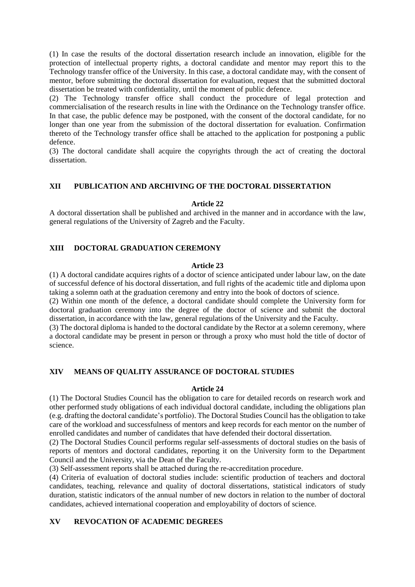(1) In case the results of the doctoral dissertation research include an innovation, eligible for the protection of intellectual property rights, a doctoral candidate and mentor may report this to the Technology transfer office of the University. In this case, a doctoral candidate may, with the consent of mentor, before submitting the doctoral dissertation for evaluation, request that the submitted doctoral dissertation be treated with confidentiality, until the moment of public defence.

(2) The Technology transfer office shall conduct the procedure of legal protection and commercialisation of the research results in line with the Ordinance on the Technology transfer office. In that case, the public defence may be postponed, with the consent of the doctoral candidate, for no longer than one year from the submission of the doctoral dissertation for evaluation. Confirmation thereto of the Technology transfer office shall be attached to the application for postponing a public defence.

(3) The doctoral candidate shall acquire the copyrights through the act of creating the doctoral dissertation.

## **XII PUBLICATION AND ARCHIVING OF THE DOCTORAL DISSERTATION**

### **Article 22**

A doctoral dissertation shall be published and archived in the manner and in accordance with the law, general regulations of the University of Zagreb and the Faculty.

## **XIII DOCTORAL GRADUATION CEREMONY**

#### **Article 23**

(1) A doctoral candidate acquires rights of a doctor of science anticipated under labour law, on the date of successful defence of his doctoral dissertation, and full rights of the academic title and diploma upon taking a solemn oath at the graduation ceremony and entry into the book of doctors of science.

(2) Within one month of the defence, a doctoral candidate should complete the University form for doctoral graduation ceremony into the degree of the doctor of science and submit the doctoral dissertation, in accordance with the law, general regulations of the University and the Faculty.

(3) The doctoral diploma is handed to the doctoral candidate by the Rector at a solemn ceremony, where a doctoral candidate may be present in person or through a proxy who must hold the title of doctor of science.

## **XIV MEANS OF QUALITY ASSURANCE OF DOCTORAL STUDIES**

#### **Article 24**

(1) The Doctoral Studies Council has the obligation to care for detailed records on research work and other performed study obligations of each individual doctoral candidate, including the obligations plan (e.g. drafting the doctoral candidate's portfolio). The Doctoral Studies Council has the obligation to take care of the workload and successfulness of mentors and keep records for each mentor on the number of enrolled candidates and number of candidates that have defended their doctoral dissertation.

(2) The Doctoral Studies Council performs regular self-assessments of doctoral studies on the basis of reports of mentors and doctoral candidates, reporting it on the University form to the Department Council and the University, via the Dean of the Faculty.

(3) Self-assessment reports shall be attached during the re-accreditation procedure.

(4) Criteria of evaluation of doctoral studies include: scientific production of teachers and doctoral candidates, teaching, relevance and quality of doctoral dissertations, statistical indicators of study duration, statistic indicators of the annual number of new doctors in relation to the number of doctoral candidates, achieved international cooperation and employability of doctors of science.

## **XV REVOCATION OF ACADEMIC DEGREES**